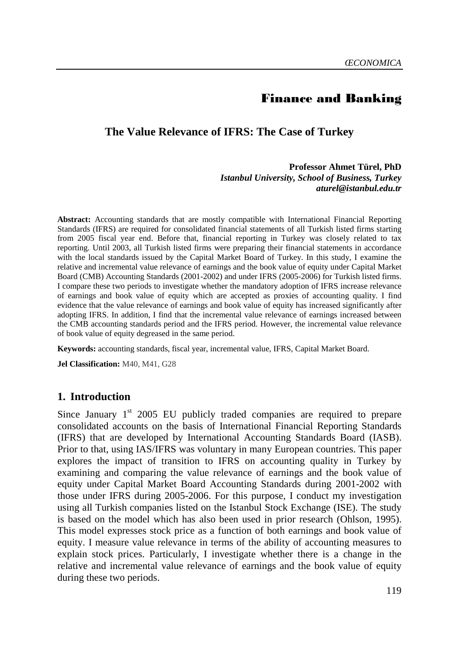# Finance and Banking

#### **The Value Relevance of IFRS: The Case of Turkey**

**Professor Ahmet Türel, PhD**  *Istanbul University, School of Business, Turkey aturel@istanbul.edu.tr* 

**Abstract:** Accounting standards that are mostly compatible with International Financial Reporting Standards (IFRS) are required for consolidated financial statements of all Turkish listed firms starting from 2005 fiscal year end. Before that, financial reporting in Turkey was closely related to tax reporting. Until 2003, all Turkish listed firms were preparing their financial statements in accordance with the local standards issued by the Capital Market Board of Turkey. In this study, I examine the relative and incremental value relevance of earnings and the book value of equity under Capital Market Board (CMB) Accounting Standards (2001-2002) and under IFRS (2005-2006) for Turkish listed firms. I compare these two periods to investigate whether the mandatory adoption of IFRS increase relevance of earnings and book value of equity which are accepted as proxies of accounting quality. I find evidence that the value relevance of earnings and book value of equity has increased significantly after adopting IFRS. In addition, I find that the incremental value relevance of earnings increased between the CMB accounting standards period and the IFRS period. However, the incremental value relevance of book value of equity degreased in the same period.

**Keywords:** accounting standards, fiscal year, incremental value, IFRS, Capital Market Board.

**Jel Classification:** M40, M41, G28

#### **1. Introduction**

Since January  $1<sup>st</sup>$  2005 EU publicly traded companies are required to prepare consolidated accounts on the basis of International Financial Reporting Standards (IFRS) that are developed by International Accounting Standards Board (IASB). Prior to that, using IAS/IFRS was voluntary in many European countries. This paper explores the impact of transition to IFRS on accounting quality in Turkey by examining and comparing the value relevance of earnings and the book value of equity under Capital Market Board Accounting Standards during 2001-2002 with those under IFRS during 2005-2006. For this purpose, I conduct my investigation using all Turkish companies listed on the Istanbul Stock Exchange (ISE). The study is based on the model which has also been used in prior research (Ohlson, 1995). This model expresses stock price as a function of both earnings and book value of equity. I measure value relevance in terms of the ability of accounting measures to explain stock prices. Particularly, I investigate whether there is a change in the relative and incremental value relevance of earnings and the book value of equity during these two periods.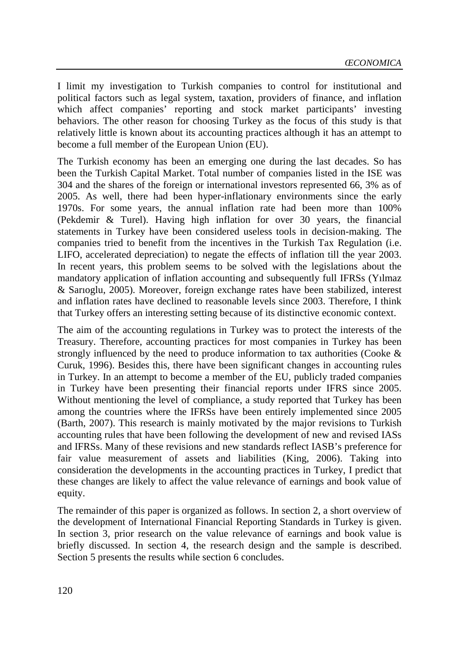I limit my investigation to Turkish companies to control for institutional and political factors such as legal system, taxation, providers of finance, and inflation which affect companies' reporting and stock market participants' investing behaviors. The other reason for choosing Turkey as the focus of this study is that relatively little is known about its accounting practices although it has an attempt to become a full member of the European Union (EU).

The Turkish economy has been an emerging one during the last decades. So has been the Turkish Capital Market. Total number of companies listed in the ISE was 304 and the shares of the foreign or international investors represented 66, 3% as of 2005. As well, there had been hyper-inflationary environments since the early 1970s. For some years, the annual inflation rate had been more than 100% (Pekdemir & Turel). Having high inflation for over 30 years, the financial statements in Turkey have been considered useless tools in decision-making. The companies tried to benefit from the incentives in the Turkish Tax Regulation (i.e. LIFO, accelerated depreciation) to negate the effects of inflation till the year 2003. In recent years, this problem seems to be solved with the legislations about the mandatory application of inflation accounting and subsequently full IFRSs (Yılmaz & Sarıoglu, 2005). Moreover, foreign exchange rates have been stabilized, interest and inflation rates have declined to reasonable levels since 2003. Therefore, I think that Turkey offers an interesting setting because of its distinctive economic context.

The aim of the accounting regulations in Turkey was to protect the interests of the Treasury. Therefore, accounting practices for most companies in Turkey has been strongly influenced by the need to produce information to tax authorities (Cooke  $\&$ Curuk, 1996). Besides this, there have been significant changes in accounting rules in Turkey. In an attempt to become a member of the EU, publicly traded companies in Turkey have been presenting their financial reports under IFRS since 2005. Without mentioning the level of compliance, a study reported that Turkey has been among the countries where the IFRSs have been entirely implemented since 2005 (Barth, 2007). This research is mainly motivated by the major revisions to Turkish accounting rules that have been following the development of new and revised IASs and IFRSs. Many of these revisions and new standards reflect IASB's preference for fair value measurement of assets and liabilities (King, 2006). Taking into consideration the developments in the accounting practices in Turkey, I predict that these changes are likely to affect the value relevance of earnings and book value of equity.

The remainder of this paper is organized as follows. In section 2, a short overview of the development of International Financial Reporting Standards in Turkey is given. In section 3, prior research on the value relevance of earnings and book value is briefly discussed. In section 4, the research design and the sample is described. Section 5 presents the results while section 6 concludes.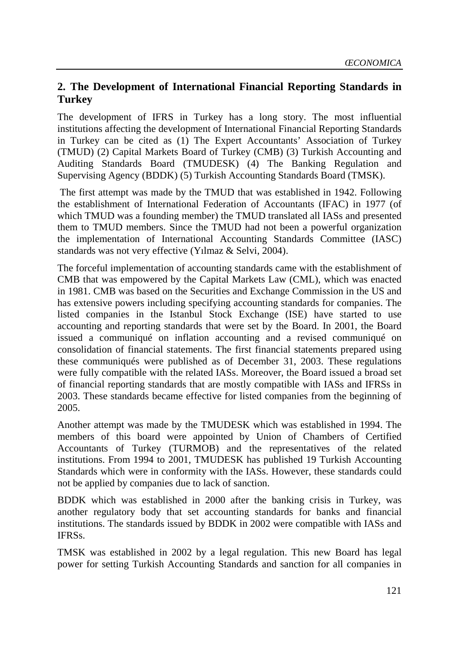# **2. The Development of International Financial Reporting Standards in Turkey**

The development of IFRS in Turkey has a long story. The most influential institutions affecting the development of International Financial Reporting Standards in Turkey can be cited as (1) The Expert Accountants' Association of Turkey (TMUD) (2) Capital Markets Board of Turkey (CMB) (3) Turkish Accounting and Auditing Standards Board (TMUDESK) (4) The Banking Regulation and Supervising Agency (BDDK) (5) Turkish Accounting Standards Board (TMSK).

 The first attempt was made by the TMUD that was established in 1942. Following the establishment of International Federation of Accountants (IFAC) in 1977 (of which TMUD was a founding member) the TMUD translated all IASs and presented them to TMUD members. Since the TMUD had not been a powerful organization the implementation of International Accounting Standards Committee (IASC) standards was not very effective (Yılmaz & Selvi, 2004).

The forceful implementation of accounting standards came with the establishment of CMB that was empowered by the Capital Markets Law (CML), which was enacted in 1981. CMB was based on the Securities and Exchange Commission in the US and has extensive powers including specifying accounting standards for companies. The listed companies in the Istanbul Stock Exchange (ISE) have started to use accounting and reporting standards that were set by the Board. In 2001, the Board issued a communiqué on inflation accounting and a revised communiqué on consolidation of financial statements. The first financial statements prepared using these communiqués were published as of December 31, 2003. These regulations were fully compatible with the related IASs. Moreover, the Board issued a broad set of financial reporting standards that are mostly compatible with IASs and IFRSs in 2003. These standards became effective for listed companies from the beginning of 2005.

Another attempt was made by the TMUDESK which was established in 1994. The members of this board were appointed by Union of Chambers of Certified Accountants of Turkey (TURMOB) and the representatives of the related institutions. From 1994 to 2001, TMUDESK has published 19 Turkish Accounting Standards which were in conformity with the IASs. However, these standards could not be applied by companies due to lack of sanction.

BDDK which was established in 2000 after the banking crisis in Turkey, was another regulatory body that set accounting standards for banks and financial institutions. The standards issued by BDDK in 2002 were compatible with IASs and IFRSs.

TMSK was established in 2002 by a legal regulation. This new Board has legal power for setting Turkish Accounting Standards and sanction for all companies in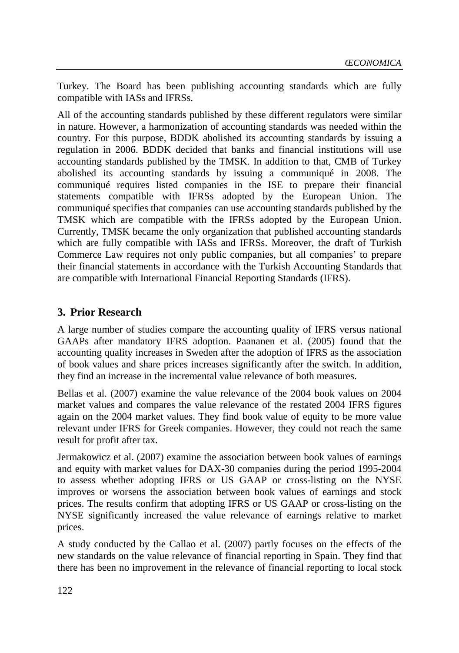Turkey. The Board has been publishing accounting standards which are fully compatible with IASs and IFRSs.

All of the accounting standards published by these different regulators were similar in nature. However, a harmonization of accounting standards was needed within the country. For this purpose, BDDK abolished its accounting standards by issuing a regulation in 2006. BDDK decided that banks and financial institutions will use accounting standards published by the TMSK. In addition to that, CMB of Turkey abolished its accounting standards by issuing a communiqué in 2008. The communiqué requires listed companies in the ISE to prepare their financial statements compatible with IFRSs adopted by the European Union. The communiqué specifies that companies can use accounting standards published by the TMSK which are compatible with the IFRSs adopted by the European Union. Currently, TMSK became the only organization that published accounting standards which are fully compatible with IASs and IFRSs. Moreover, the draft of Turkish Commerce Law requires not only public companies, but all companies' to prepare their financial statements in accordance with the Turkish Accounting Standards that are compatible with International Financial Reporting Standards (IFRS).

# **3. Prior Research**

A large number of studies compare the accounting quality of IFRS versus national GAAPs after mandatory IFRS adoption. Paananen et al. (2005) found that the accounting quality increases in Sweden after the adoption of IFRS as the association of book values and share prices increases significantly after the switch. In addition, they find an increase in the incremental value relevance of both measures.

Bellas et al. (2007) examine the value relevance of the 2004 book values on 2004 market values and compares the value relevance of the restated 2004 IFRS figures again on the 2004 market values. They find book value of equity to be more value relevant under IFRS for Greek companies. However, they could not reach the same result for profit after tax.

Jermakowicz et al. (2007) examine the association between book values of earnings and equity with market values for DAX-30 companies during the period 1995-2004 to assess whether adopting IFRS or US GAAP or cross-listing on the NYSE improves or worsens the association between book values of earnings and stock prices. The results confirm that adopting IFRS or US GAAP or cross-listing on the NYSE significantly increased the value relevance of earnings relative to market prices.

A study conducted by the Callao et al. (2007) partly focuses on the effects of the new standards on the value relevance of financial reporting in Spain. They find that there has been no improvement in the relevance of financial reporting to local stock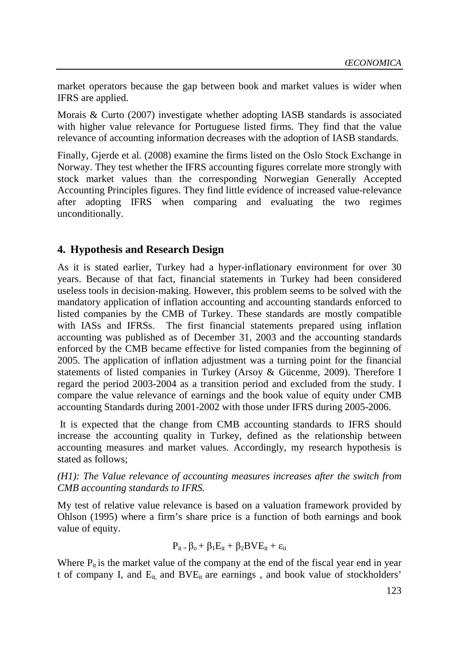market operators because the gap between book and market values is wider when IFRS are applied.

Morais & Curto (2007) investigate whether adopting IASB standards is associated with higher value relevance for Portuguese listed firms. They find that the value relevance of accounting information decreases with the adoption of IASB standards.

Finally, Gjerde et al. (2008) examine the firms listed on the Oslo Stock Exchange in Norway. They test whether the IFRS accounting figures correlate more strongly with stock market values than the corresponding Norwegian Generally Accepted Accounting Principles figures. They find little evidence of increased value-relevance after adopting IFRS when comparing and evaluating the two regimes unconditionally.

### **4. Hypothesis and Research Design**

As it is stated earlier, Turkey had a hyper-inflationary environment for over 30 years. Because of that fact, financial statements in Turkey had been considered useless tools in decision-making. However, this problem seems to be solved with the mandatory application of inflation accounting and accounting standards enforced to listed companies by the CMB of Turkey. These standards are mostly compatible with IASs and IFRSs. The first financial statements prepared using inflation accounting was published as of December 31, 2003 and the accounting standards enforced by the CMB became effective for listed companies from the beginning of 2005. The application of inflation adjustment was a turning point for the financial statements of listed companies in Turkey (Arsoy & Gücenme, 2009). Therefore I regard the period 2003-2004 as a transition period and excluded from the study. I compare the value relevance of earnings and the book value of equity under CMB accounting Standards during 2001-2002 with those under IFRS during 2005-2006.

 It is expected that the change from CMB accounting standards to IFRS should increase the accounting quality in Turkey, defined as the relationship between accounting measures and market values. Accordingly, my research hypothesis is stated as follows;

*(H1): The Value relevance of accounting measures increases after the switch from CMB accounting standards to IFRS.* 

My test of relative value relevance is based on a valuation framework provided by Ohlson (1995) where a firm's share price is a function of both earnings and book value of equity.

$$
P_{it} = \beta_o + \beta_1 E_{it} + \beta_2 BVE_{it} + \epsilon_{it}
$$

Where  $P_{it}$  is the market value of the company at the end of the fiscal year end in year t of company I, and  $E_{it}$  and  $BVE_{it}$  are earnings, and book value of stockholders'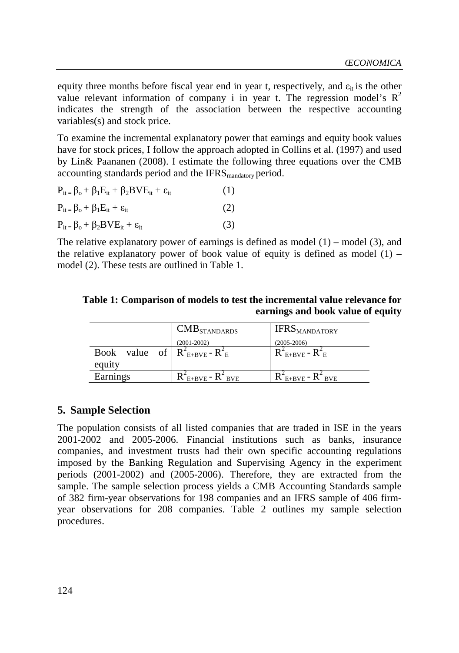equity three months before fiscal year end in year t, respectively, and  $\varepsilon_{it}$  is the other value relevant information of company i in year t. The regression model's  $R^2$ indicates the strength of the association between the respective accounting variables(s) and stock price.

To examine the incremental explanatory power that earnings and equity book values have for stock prices, I follow the approach adopted in Collins et al. (1997) and used by Lin& Paananen (2008). I estimate the following three equations over the CMB accounting standards period and the IFRS mandatory period.

| $P_{it} = \beta_o + \beta_1 E_{it} + \beta_2 BVE_{it} + \varepsilon_{it}$ | (1) |
|---------------------------------------------------------------------------|-----|
| $P_{it} = \beta_o + \beta_1 E_{it} + \varepsilon_{it}$                    | (2) |
| $P_{it} = \beta_o + \beta_2 BVE_{it} + \varepsilon_{it}$                  | (3) |

The relative explanatory power of earnings is defined as model  $(1)$  – model  $(3)$ , and the relative explanatory power of book value of equity is defined as model  $(1)$  – model (2). These tests are outlined in Table 1.

**Table 1: Comparison of models to test the incremental value relevance for earnings and book value of equity** 

|                                     | $\mathrm{CMB}_{\mathrm{STANDARDS}}$ | <b>IFRSMANDATORY</b>        |
|-------------------------------------|-------------------------------------|-----------------------------|
|                                     | $(2001 - 2002)$                     | $(2005 - 2006)$             |
| Book value of $R_{E+BVE}^2 - R_E^2$ |                                     | $R_{E+BVE}^2$ - $R_{E}^2$   |
| equity                              |                                     |                             |
| Earnings                            | $R_{E+BVE} - R_{BVE}$               | $R_{E+BVE}^2$ - $R_{BVE}^2$ |

### **5. Sample Selection**

The population consists of all listed companies that are traded in ISE in the years 2001-2002 and 2005-2006. Financial institutions such as banks, insurance companies, and investment trusts had their own specific accounting regulations imposed by the Banking Regulation and Supervising Agency in the experiment periods (2001-2002) and (2005-2006). Therefore, they are extracted from the sample. The sample selection process yields a CMB Accounting Standards sample of 382 firm-year observations for 198 companies and an IFRS sample of 406 firmyear observations for 208 companies. Table 2 outlines my sample selection procedures.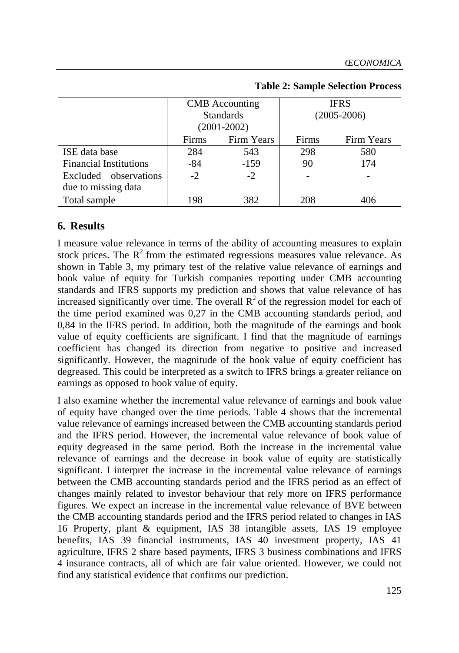|                               | <b>CMB</b> Accounting<br><b>Standards</b><br>$(2001 - 2002)$ |            |                          | <b>IFRS</b><br>$(2005 - 2006)$ |
|-------------------------------|--------------------------------------------------------------|------------|--------------------------|--------------------------------|
|                               | <b>Firms</b>                                                 | Firm Years | Firms                    | Firm Years                     |
| ISE data base                 | 284                                                          | 543        | 298                      | 580                            |
| <b>Financial Institutions</b> | -84                                                          | $-159$     | 90                       | 174                            |
| Excluded observations         | $-2$                                                         | $-2$       | $\overline{\phantom{0}}$ |                                |
| due to missing data           |                                                              |            |                          |                                |
| Total sample                  | 198                                                          | 382        | 208                      | 406                            |

#### **Table 2: Sample Selection Process**

## **6. Results**

I measure value relevance in terms of the ability of accounting measures to explain stock prices. The  $R^2$  from the estimated regressions measures value relevance. As shown in Table 3, my primary test of the relative value relevance of earnings and book value of equity for Turkish companies reporting under CMB accounting standards and IFRS supports my prediction and shows that value relevance of has increased significantly over time. The overall  $\mathbb{R}^2$  of the regression model for each of the time period examined was 0,27 in the CMB accounting standards period, and 0,84 in the IFRS period. In addition, both the magnitude of the earnings and book value of equity coefficients are significant. I find that the magnitude of earnings coefficient has changed its direction from negative to positive and increased significantly. However, the magnitude of the book value of equity coefficient has degreased. This could be interpreted as a switch to IFRS brings a greater reliance on earnings as opposed to book value of equity.

I also examine whether the incremental value relevance of earnings and book value of equity have changed over the time periods. Table 4 shows that the incremental value relevance of earnings increased between the CMB accounting standards period and the IFRS period. However, the incremental value relevance of book value of equity degreased in the same period. Both the increase in the incremental value relevance of earnings and the decrease in book value of equity are statistically significant. I interpret the increase in the incremental value relevance of earnings between the CMB accounting standards period and the IFRS period as an effect of changes mainly related to investor behaviour that rely more on IFRS performance figures. We expect an increase in the incremental value relevance of BVE between the CMB accounting standards period and the IFRS period related to changes in IAS 16 Property, plant & equipment, IAS 38 intangible assets, IAS 19 employee benefits, IAS 39 financial instruments, IAS 40 investment property, IAS 41 agriculture, IFRS 2 share based payments, IFRS 3 business combinations and IFRS 4 insurance contracts, all of which are fair value oriented. However, we could not find any statistical evidence that confirms our prediction.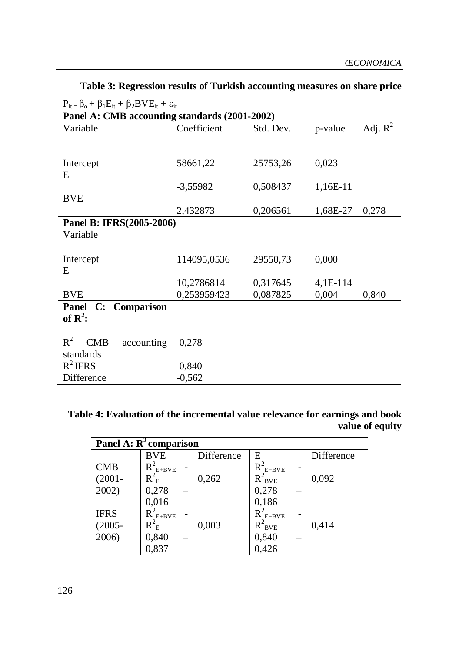| $P_{it} = \beta_o + \beta_1 E_{it} + \beta_2 BVE_{it} + \varepsilon_{it}$ |                                                                                   |                      |                   |  |
|---------------------------------------------------------------------------|-----------------------------------------------------------------------------------|----------------------|-------------------|--|
| Panel A: CMB accounting standards (2001-2002)                             |                                                                                   |                      |                   |  |
| Coefficient                                                               | Std. Dev.                                                                         | p-value              | Adj. $R^2$        |  |
|                                                                           |                                                                                   |                      |                   |  |
| 58661,22                                                                  | 25753,26                                                                          | 0,023                |                   |  |
|                                                                           |                                                                                   |                      |                   |  |
| $-3,55982$                                                                | 0,508437                                                                          | 1,16E-11             |                   |  |
|                                                                           |                                                                                   |                      |                   |  |
|                                                                           |                                                                                   |                      | 0,278             |  |
|                                                                           |                                                                                   |                      |                   |  |
|                                                                           |                                                                                   |                      |                   |  |
|                                                                           |                                                                                   |                      |                   |  |
|                                                                           |                                                                                   |                      |                   |  |
| 10,2786814                                                                | 0,317645                                                                          | $4,1E-114$           |                   |  |
| 0,253959423                                                               | 0,087825                                                                          | 0,004                | 0,840             |  |
| C: Comparison<br><b>Panel</b><br>of $\mathbb{R}^2$ :                      |                                                                                   |                      |                   |  |
|                                                                           |                                                                                   |                      |                   |  |
|                                                                           |                                                                                   |                      |                   |  |
|                                                                           |                                                                                   |                      |                   |  |
|                                                                           |                                                                                   |                      |                   |  |
|                                                                           |                                                                                   |                      |                   |  |
|                                                                           | 2,432873<br>Panel B: IFRS(2005-2006)<br>114095,0536<br>0,278<br>0,840<br>$-0,562$ | 0,206561<br>29550,73 | 1,68E-27<br>0,000 |  |

**Table 3: Regression results of Turkish accounting measures on share price** 

### **Table 4: Evaluation of the incremental value relevance for earnings and book value of equity**

| Panel A: $R^2$ comparison |                 |            |               |            |
|---------------------------|-----------------|------------|---------------|------------|
|                           | <b>BVE</b>      | Difference | Е             | Difference |
| <b>CMB</b>                | $R_{E+BVE}^2$   |            | $R^2_{E+BVE}$ |            |
| $(2001 -$                 | $R_{\rm \,E}^2$ | 0,262      | $R^2_{BVE}$   | 0,092      |
| 2002)                     | 0,278           |            | 0,278         |            |
|                           | 0,016           |            | 0,186         |            |
| <b>IFRS</b>               | $R_{E+BVE}^2$   |            | $R_{E+BVE}^2$ |            |
| $(2005 -$                 | $R_{\;E}^2$     | 0,003      | $R^2_{BVE}$   | 0,414      |
| 2006)                     | 0,840           |            | 0,840         |            |
|                           | 0,837           |            | 0,426         |            |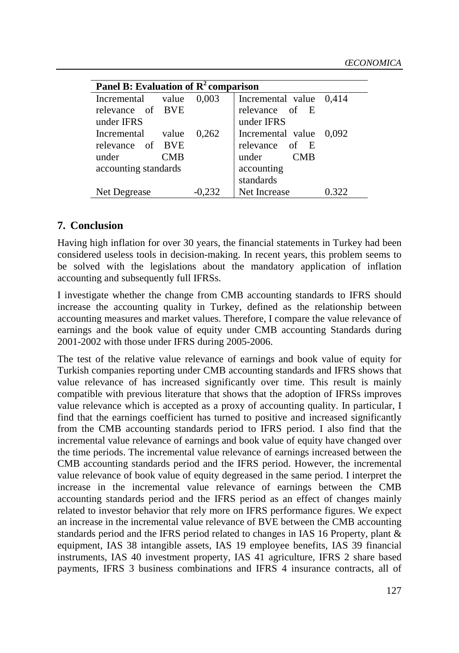| <b>Panel B:</b> Evaluation of $R^2$ comparison |       |                         |  |  |  |
|------------------------------------------------|-------|-------------------------|--|--|--|
| Incremental<br>value                           | 0.003 | Incremental value 0,414 |  |  |  |
| relevance of BVE                               |       | relevance of E          |  |  |  |
| under IFRS                                     |       | under IFRS              |  |  |  |
| value<br>Incremental                           | 0.262 | Incremental value 0,092 |  |  |  |
| relevance of BVE                               |       | relevance of E          |  |  |  |
| under<br><b>CMB</b>                            |       | under CMB               |  |  |  |
| accounting standards                           |       | accounting              |  |  |  |
|                                                |       | standards               |  |  |  |
| Net Degrease                                   |       | Net Increase            |  |  |  |

### **7. Conclusion**

Having high inflation for over 30 years, the financial statements in Turkey had been considered useless tools in decision-making. In recent years, this problem seems to be solved with the legislations about the mandatory application of inflation accounting and subsequently full IFRSs.

I investigate whether the change from CMB accounting standards to IFRS should increase the accounting quality in Turkey, defined as the relationship between accounting measures and market values. Therefore, I compare the value relevance of earnings and the book value of equity under CMB accounting Standards during 2001-2002 with those under IFRS during 2005-2006.

The test of the relative value relevance of earnings and book value of equity for Turkish companies reporting under CMB accounting standards and IFRS shows that value relevance of has increased significantly over time. This result is mainly compatible with previous literature that shows that the adoption of IFRSs improves value relevance which is accepted as a proxy of accounting quality. In particular, I find that the earnings coefficient has turned to positive and increased significantly from the CMB accounting standards period to IFRS period. I also find that the incremental value relevance of earnings and book value of equity have changed over the time periods. The incremental value relevance of earnings increased between the CMB accounting standards period and the IFRS period. However, the incremental value relevance of book value of equity degreased in the same period. I interpret the increase in the incremental value relevance of earnings between the CMB accounting standards period and the IFRS period as an effect of changes mainly related to investor behavior that rely more on IFRS performance figures. We expect an increase in the incremental value relevance of BVE between the CMB accounting standards period and the IFRS period related to changes in IAS 16 Property, plant & equipment, IAS 38 intangible assets, IAS 19 employee benefits, IAS 39 financial instruments, IAS 40 investment property, IAS 41 agriculture, IFRS 2 share based payments, IFRS 3 business combinations and IFRS 4 insurance contracts, all of